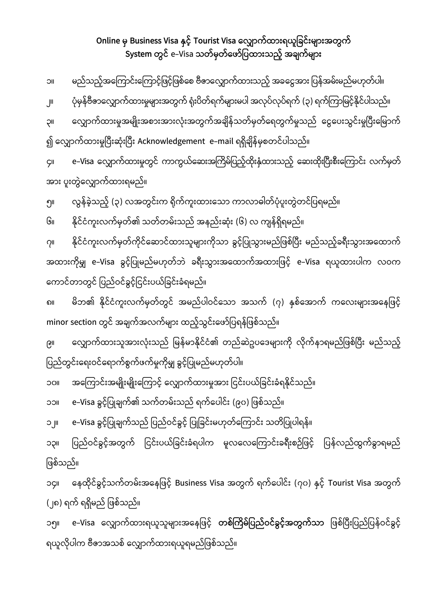## **Online Business Visa နှင့် Tourist Visa လလျှောက်ထားရယူြြင်းများအတွက် System တွင်** e-Visa **သတ်မှတ်လော်ြြထားသည့် အြျက်များ**

| <b>IIC</b>                                                                | မည်သည့်အကြောင်းကြောင့်ဖြင့်ဖြစ်စေ ဗီဇာလျှောက်ထားသည့် အခငွေအား ပြန်အမ်းမည်မဟုတ်ပါ။            |
|---------------------------------------------------------------------------|----------------------------------------------------------------------------------------------|
| $J^{\parallel}$                                                           | ပုံမှန်ဗီဇာလျှောက်ထားမှုများအတွက် ရုံးပိတ်ရက်များမပါ အလုပ်လုပ်ရက် (၃) ရက်ကြာမြင့်နိုင်ပါသည်။ |
| <b>IIÇ</b>                                                                | လျှောက်ထားမှုအမျိုးအစားအားလုံးအတွက်အချိန်သတ်မှတ်ရေတွက်မှုသည် ငွေပေးသွင်းမှုပြီးမြောက်        |
| ၍ လျှောက်ထားမှုပြီးဆုံးပြီး Acknowledgement  e–mail ရရှိချိန်မှစတင်ပါသည်။ |                                                                                              |
| ÇII                                                                       | e–Visa လျှောက်ထားမှုတွင် ကာကွယ်ဆေးအကြိမ်ပြည့်ထိုးနှံထားသည့် ဆေးထိုးပြီးစီးကြောင်း လက်မှတ်    |
| အား ပူးတွဲလျှောက်ထားရမည်။                                                 |                                                                                              |
| ၅။                                                                        | လွန်ခဲ့သည့် (၃) လအတွင်းက ရိုက်ကူးထားသော ကာလာဓါတ်ပုံပူးတွဲတင်ပြရမည်။                          |
| Gıı                                                                       | နိုင်ငံကူးလက်မှတ်၏ သတ်တမ်းသည် အနည်းဆုံး (၆) လ ကျန်ရှိရမည်။                                   |
|                                                                           |                                                                                              |

၇။ နိုင်ငံကူးလက်မှတ်ကိုင်ဆောင်ထားသူများကိုသာ ခွင့်ပြုသွားမည်ဖြစ်ပြီး မည်သည့်ခရီးသွားအထောက် အထားကိုမျှ e–Visa ခွင့်ပြုမည်မဟုတ်ဘဲ ခရီးသွားအထောက်အထားဖြင့် e–Visa ရယူထားပါက လဝက ကောင်တာတွင် ပြည်ဝင်ခွင့်ငြင်းပယ်ခြင်းခံရမည်။

၈။ မိဘ၏ နိုင်ငံကူးလက်မှတ်တွင် အမည်ပါဝင်သော အသက် (၇) နှစ်အောက် ကလေးများအနေဖြင့် minor section တွင် အချက်အလက်များ ထည့်သွင်းဖော်ပြရန်ဖြစ်သည်။

၉။ ေလျှောက်ထားသူအားလုံးသည် မြန်မာနိုင်ငံ၏ တည်ဆဲဥပဒေများကို လိုက်နာရမည်ဖြစ်ပြီး မည်သည့် ပြည်တွင်းရေးဝင်ရောက်စွက်ဖက်မှုကိုမျှ ခွင့်ပြုမည်မဟုတ်ပါ။

၁၃။ ပြည်ဝင်ခွင့်အတွက် ငြင်းပယ်ခြင်းခံရပါက မူလလေကြောင်းခရီးစဉ်ဖြင့် ပြန်လည်ထွက်ခွာရမည်

၁၄။ နေထိုင်ခွင့်သက်တမ်းအနေဖြင့် Business Visa အတွက် ရက်ပေါင်း (၇၀) နှင့် Tourist Visa အတွက်

၁၅။ e–Visa လျှောက်ထားရယူသူများအနေဖြင့် **တစ်ကြိမ်ပြည်ဝင်ခွင့်အတွက်သာ** ဖြစ်ပြီးပြည်ပြန်ဝင်ခွင့်

၁၀။ အကြောင်းအမျိုးမျိုးကြောင့် လျှောက်ထားမှုအား ငြင်းပယ်ခြင်းခံရနိုင်သည်။

၁၁။ e–Visa ခွင့်ပြုချက်၏ သက်တမ်းသည် ရက်ပေါင်း (၉၀) ဖြစ်သည်။

၁၂။ e–Visa ခွင့်ပြုချက်သည် ပြည်ဝင်ခွင့် ပြုခြင်းမဟုတ်ကြောင်း သတိပြုပါရန်။

ရယူလိုပါက ဗီဇာအသစ် လျှောက်ထားရယူရမည်ဖြစ်သည်။

ြဖစ်သည်။

(၂၈) ရက် ရရှိမည် ဖြစ်သည်။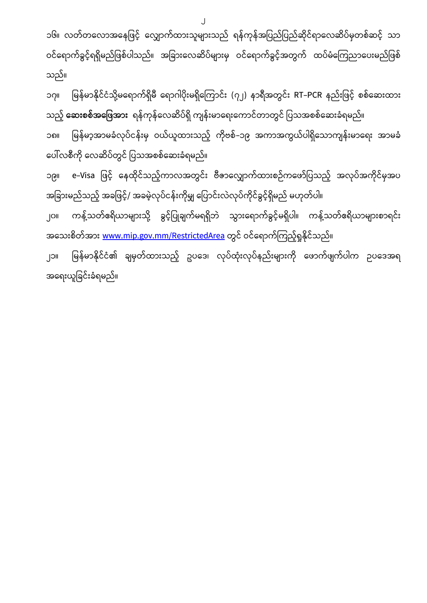၁၆။ လတ်တလောအနေဖြင့် လျှောက်ထားသူများသည် ရန်ကုန်အပြည်ပြည်ဆိုင်ရာလေဆိပ်မှတစ်ဆင့် သာ ဝင်ရောက်ခွင့်ရရှိမည်ဖြစ်ပါသည်။ အခြားလေဆိပ်များမှ ဝင်ရောက်ခွင့်အတွက် ထပ်မံကြေညာပေးမည်ဖြစ် သည်။

 $\overline{\mathsf{I}}$ 

၁၇။ မြန်မာနိုင်ငံသို့မရောက်ရှိမီ ရောဂါပိုးမရှိကြောင်း (၇၂) နာရီအတွင်း RT–PCR နည်းဖြင့် စစ်ဆေးထား သည့် **ဆေးစစ်အဖြေအား** ရန်ကုန်လေဆိပ်ရှိ ကျန်းမာရေးကောင်တာတွင် ပြသအစစ်ဆေးခံရမည်။ ၁၈။ မြန်မာ့အာမခံလုပ်ငန်းမှ ဝယ်ယူထားသည့် ကိုဗစ်–၁၉ အကာအကွယ်ပါရှိသောကျန်းမာရေး အာမခံ ေပါ်လစီြေို ေလဆိပ်တွင် ြပသအစစ်ေဆဵခဳရမည်။

၁၉။ e–Visa ဖြင့် နေထိုင်သည့်ကာလအတွင်း ဗီဇာလျှောက်ထားစဉ်ကဖော်ပြသည့် အလုပ်အကိုင်မှအပ အခြားမည်သည့် အခဖြင့်/ အခမဲ့လုပ်ငန်းကိုမျှ ပြောင်းလဲလုပ်ကိုင်ခွင့်ရှိမည် မဟုတ်ပါ။ ၂၀။ ကန့်သတ်ဧရိယာများသို့ ခွင့်ပြုချက်မရရှိဘဲ သွားရောက်ခွင့်မရှိပါ။ ကန့်သတ်ဧရိယာများစာရင်း အသေးစိတ်အား <u>[www.mip.gov.mm/RestrictedArea](http://www.mip.gov.mm/RestrictedArea)</u> တွင် ဝင်ရောက်ကြည့်ရှုနိုင်သည်။

၂၁။ မြန်မာနိုင်ငံ၏ ချမှတ်ထားသည့် ဥပဒေ၊ လုပ်ထုံးလုပ်နည်းများကို ဖောက်ဖျက်ပါက ဉပဒေအရ အရေးယူခြင်းခံရမည်။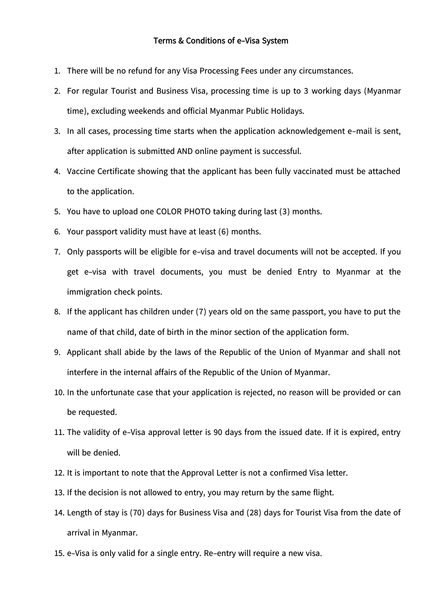- 1. There will be no refund for any Visa Processing Fees under any circumstances.
- 2. For regular Tourist and Business Visa, processing time is up to 3 working days (Myanmar time), excluding weekends and official Myanmar Public Holidays.
- 3. In all cases, processing time starts when the application acknowledgement e-mail is sent, after application is submitted AND online payment is successful.
- 4. Vaccine Certificate showing that the applicant has been fully vaccinated must be attached to the application.
- 5. You have to upload one COLOR PHOTO taking during last (3) months.
- 6. Your passport validity must have at least (6) months.
- 7. Only passports will be eligible for e-visa and travel documents will not be accepted. If you get e-visa with travel documents, you must be denied Entry to Myanmar at the immigration check points.
- 8. If the applicant has children under (7) years old on the same passport, you have to put the name of that child, date of birth in the minor section of the application form.
- 9. Applicant shall abide by the laws of the Republic of the Union of Myanmar and shall not interfere in the internal affairs of the Republic of the Union of Myanmar.
- 10. In the unfortunate case that your application is rejected, no reason will be provided or can be requested.
- 11. The validity of e-Visa approval letter is 90 days from the issued date. If it is expired, entry will be denied.
- 12. It is important to note that the Approval Letter is not a confirmed Visa letter.
- 13. If the decision is not allowed to entry, you may return by the same flight.
- 14. Length of stay is (70) days for Business Visa and (28) days for Tourist Visa from the date of arrival in Myanmar.
- 15. e-Visa is only valid for a single entry. Re-entry will require a new visa.